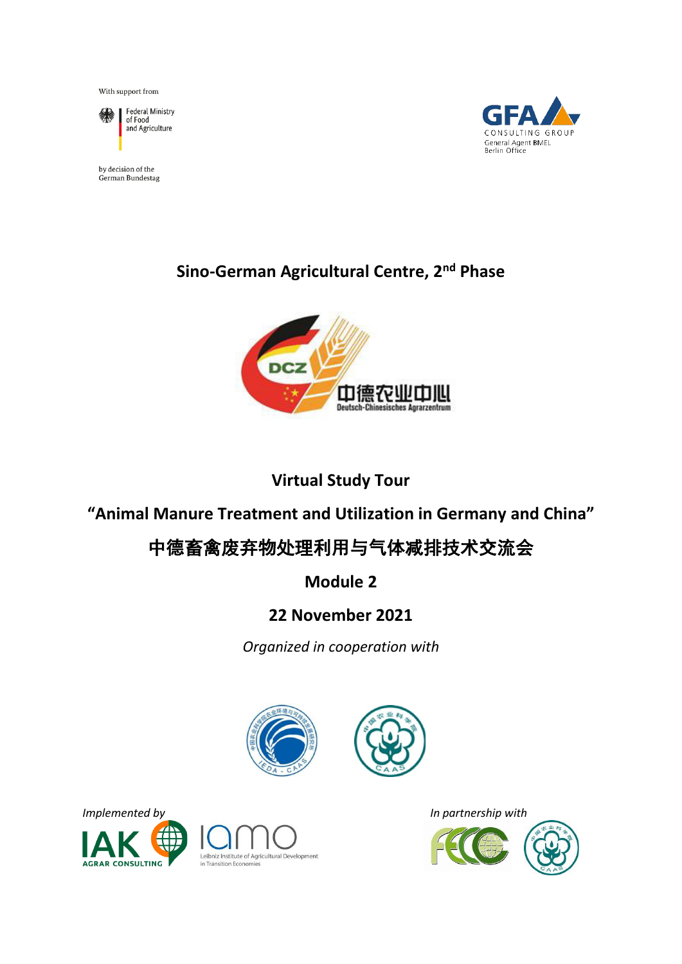With support from



Federal Ministry<br>of Food and Agriculture

by decision of the German Bundestag



## **Sino-German Agricultural Centre, 2nd Phase**



## **Virtual Study Tour**

## **"Animal Manure Treatment and Utilization in Germany and China"**

# 中德畜禽废弃物处理利用与气体减排技术交流会

## **Module 2**

## **22 November 2021**

*Organized in cooperation with* 









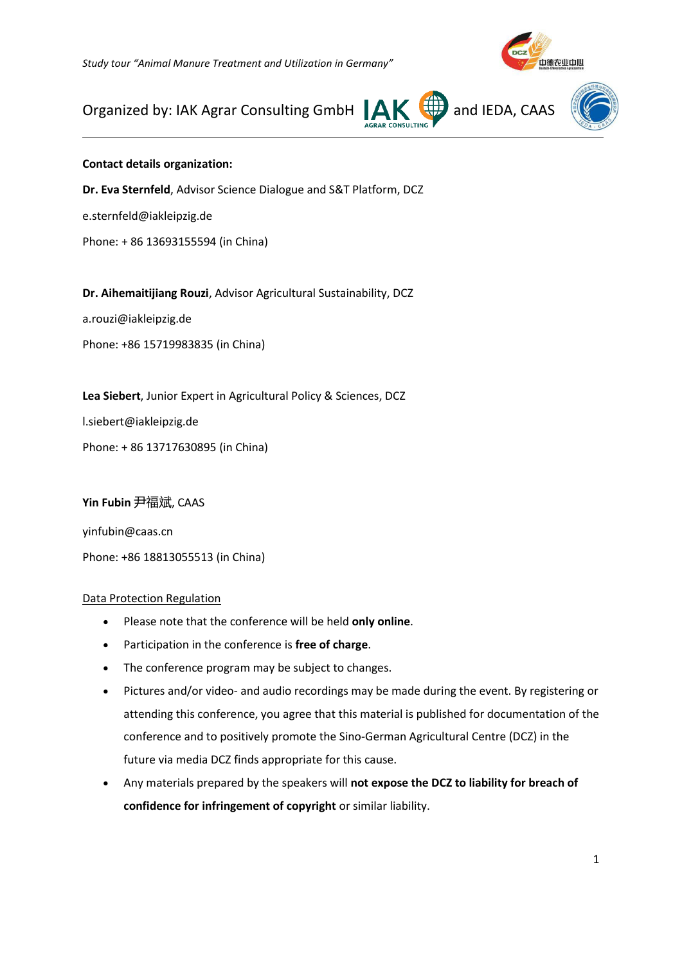*Study tour "Animal Manure Treatment and Utilization in Germany"*



## Organized by: IAK Agrar Consulting GmbH  $\parallel$ **AK**  $\downarrow$  and IEDA, CAAS





#### **Contact details organization:**

 $\overline{a}$ 

**Dr. Eva Sternfeld**, Advisor Science Dialogue and S&T Platform, DCZ e.sternfeld@iakleipzig.de Phone: + 86 13693155594 (in China)

**Dr. Aihemaitijiang Rouzi**, Advisor Agricultural Sustainability, DCZ

a.rouzi@iakleipzig.de

Phone: +86 15719983835 (in China)

**Lea Siebert**, Junior Expert in Agricultural Policy & Sciences, DCZ l.siebert@iakleipzig.de

Phone: + 86 13717630895 (in China)

#### **Yin Fubin** 尹福斌, CAAS

yinfubin@caas.cn Phone: +86 18813055513 (in China)

#### Data Protection Regulation

- Please note that the conference will be held **only online**.
- Participation in the conference is **free of charge**.
- The conference program may be subject to changes.
- Pictures and/or video- and audio recordings may be made during the event. By registering or attending this conference, you agree that this material is published for documentation of the conference and to positively promote the Sino-German Agricultural Centre (DCZ) in the future via media DCZ finds appropriate for this cause.
- Any materials prepared by the speakers will **not expose the DCZ to liability for breach of confidence for infringement of copyright** or similar liability.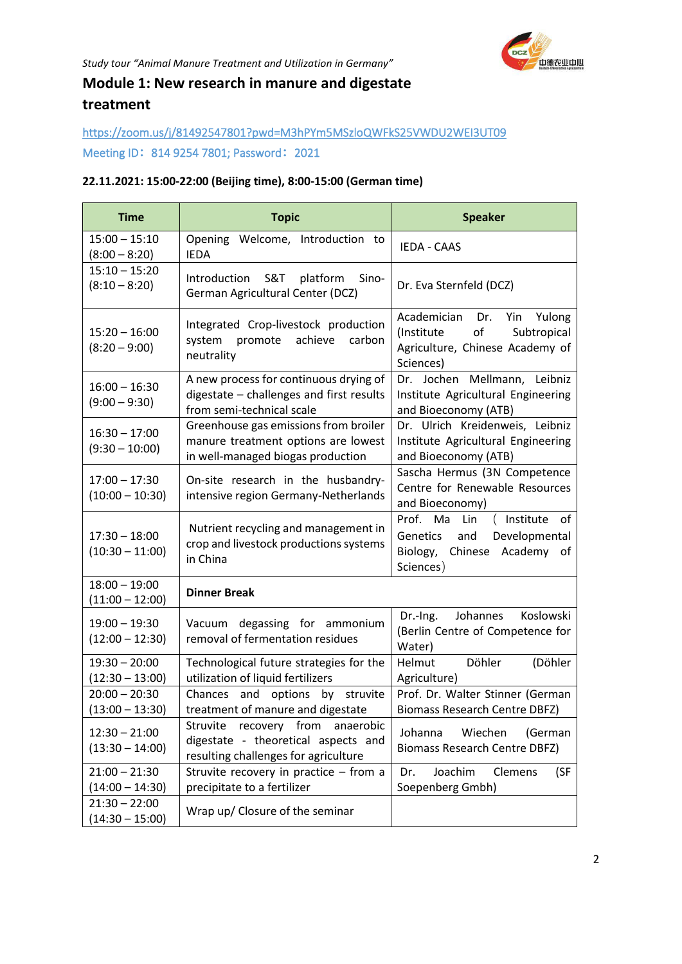### **Module 1: New research in manure and digestate treatment**

### <https://zoom.us/j/81492547801?pwd=M3hPYm5MSzloQWFkS25VWDU2WEI3UT09> Meeting ID**:**814 9254 7801; Password**:**2021

#### **22.11.2021: 15:00-22:00 (Beijing time), 8:00-15:00 (German time)**

| <b>Time</b>                          | <b>Topic</b>                                                                                                      | <b>Speaker</b>                                                                                                       |
|--------------------------------------|-------------------------------------------------------------------------------------------------------------------|----------------------------------------------------------------------------------------------------------------------|
| $15:00 - 15:10$<br>$(8:00 - 8:20)$   | Opening Welcome, Introduction to<br><b>IEDA</b>                                                                   | <b>IEDA - CAAS</b>                                                                                                   |
| $15:10 - 15:20$<br>$(8:10 - 8:20)$   | Introduction<br>S&T<br>platform<br>Sino-<br>German Agricultural Center (DCZ)                                      | Dr. Eva Sternfeld (DCZ)                                                                                              |
| $15:20 - 16:00$<br>$(8:20 - 9:00)$   | Integrated Crop-livestock production<br>achieve<br>system<br>promote<br>carbon<br>neutrality                      | Academician Dr.<br>Yulong<br>Yin<br>of<br>(Institute)<br>Subtropical<br>Agriculture, Chinese Academy of<br>Sciences) |
| $16:00 - 16:30$<br>$(9:00 - 9:30)$   | A new process for continuous drying of<br>digestate - challenges and first results<br>from semi-technical scale   | Dr. Jochen Mellmann, Leibniz<br>Institute Agricultural Engineering<br>and Bioeconomy (ATB)                           |
| $16:30 - 17:00$<br>$(9:30 - 10:00)$  | Greenhouse gas emissions from broiler<br>manure treatment options are lowest<br>in well-managed biogas production | Dr. Ulrich Kreidenweis, Leibniz<br>Institute Agricultural Engineering<br>and Bioeconomy (ATB)                        |
| $17:00 - 17:30$<br>$(10:00 - 10:30)$ | On-site research in the husbandry-<br>intensive region Germany-Netherlands                                        | Sascha Hermus (3N Competence<br>Centre for Renewable Resources<br>and Bioeconomy)                                    |
| $17:30 - 18:00$<br>$(10:30 - 11:00)$ | Nutrient recycling and management in<br>crop and livestock productions systems<br>in China                        | Prof. Ma<br>Lin<br>(Institute of<br>Genetics<br>Developmental<br>and<br>Biology, Chinese Academy of<br>Sciences)     |
| $18:00 - 19:00$<br>$(11:00 - 12:00)$ | <b>Dinner Break</b>                                                                                               |                                                                                                                      |
| $19:00 - 19:30$<br>$(12:00 - 12:30)$ | Vacuum degassing for ammonium<br>removal of fermentation residues                                                 | Koslowski<br>Dr.-Ing.<br>Johannes<br>(Berlin Centre of Competence for<br>Water)                                      |
| $19:30 - 20:00$<br>$(12:30 - 13:00)$ | Technological future strategies for the<br>utilization of liquid fertilizers                                      | Döhler<br>(Döhler<br>Helmut<br>Agriculture)                                                                          |
| $20:00 - 20:30$<br>$(13:00 - 13:30)$ | options<br>struvite<br>Chances<br>and<br>by<br>treatment of manure and digestate                                  | Prof. Dr. Walter Stinner (German<br><b>Biomass Research Centre DBFZ)</b>                                             |
| $12:30 - 21:00$<br>$(13:30 - 14:00)$ | Struvite recovery from anaerobic<br>digestate - theoretical aspects and<br>resulting challenges for agriculture   | Johanna<br>Wiechen<br>(German<br><b>Biomass Research Centre DBFZ)</b>                                                |
| $21:00 - 21:30$<br>$(14:00 - 14:30)$ | Struvite recovery in practice - from a<br>precipitate to a fertilizer                                             | Joachim<br>Clemens<br>(SF<br>Dr.<br>Soepenberg Gmbh)                                                                 |
| $21:30 - 22:00$<br>$(14:30 - 15:00)$ | Wrap up/ Closure of the seminar                                                                                   |                                                                                                                      |